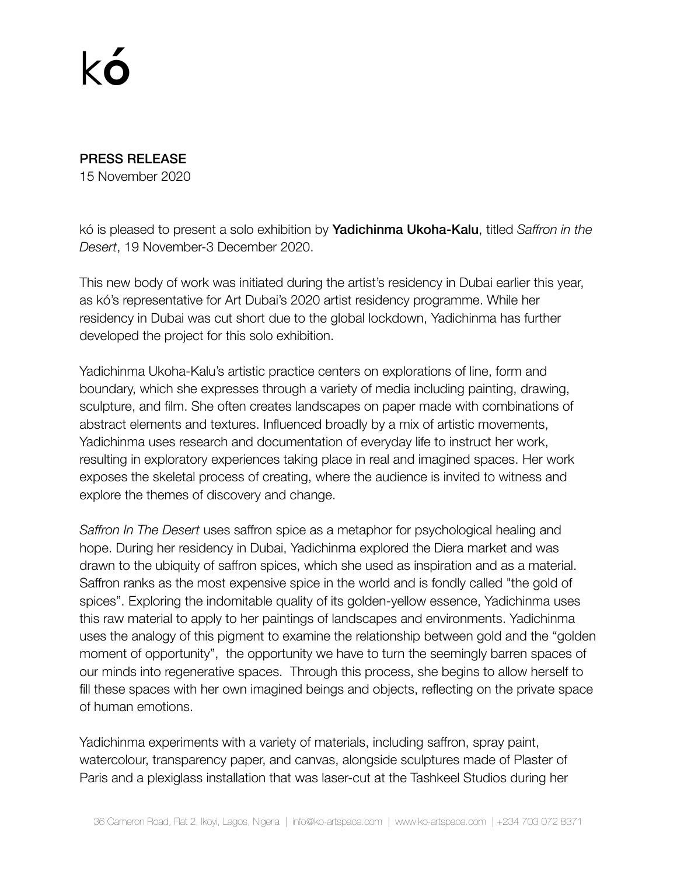## k**ó**

## PRESS RELEASE

15 November 2020

kó is pleased to present a solo exhibition by Yadichinma Ukoha-Kalu, titled *Saffron in the Desert*, 19 November-3 December 2020.

This new body of work was initiated during the artist's residency in Dubai earlier this year, as kó's representative for Art Dubai's 2020 artist residency programme. While her residency in Dubai was cut short due to the global lockdown, Yadichinma has further developed the project for this solo exhibition.

Yadichinma Ukoha-Kalu's artistic practice centers on explorations of line, form and boundary, which she expresses through a variety of media including painting, drawing, sculpture, and film. She often creates landscapes on paper made with combinations of abstract elements and textures. Influenced broadly by a mix of artistic movements, Yadichinma uses research and documentation of everyday life to instruct her work, resulting in exploratory experiences taking place in real and imagined spaces. Her work exposes the skeletal process of creating, where the audience is invited to witness and explore the themes of discovery and change.

*Saffron In The Desert* uses saffron spice as a metaphor for psychological healing and hope. During her residency in Dubai, Yadichinma explored the Diera market and was drawn to the ubiquity of saffron spices, which she used as inspiration and as a material. Saffron ranks as the most expensive spice in the world and is fondly called "the gold of spices". Exploring the indomitable quality of its golden-yellow essence, Yadichinma uses this raw material to apply to her paintings of landscapes and environments. Yadichinma uses the analogy of this pigment to examine the relationship between gold and the "golden moment of opportunity", the opportunity we have to turn the seemingly barren spaces of our minds into regenerative spaces. Through this process, she begins to allow herself to fill these spaces with her own imagined beings and objects, reflecting on the private space of human emotions.

Yadichinma experiments with a variety of materials, including saffron, spray paint, watercolour, transparency paper, and canvas, alongside sculptures made of Plaster of Paris and a plexiglass installation that was laser-cut at the Tashkeel Studios during her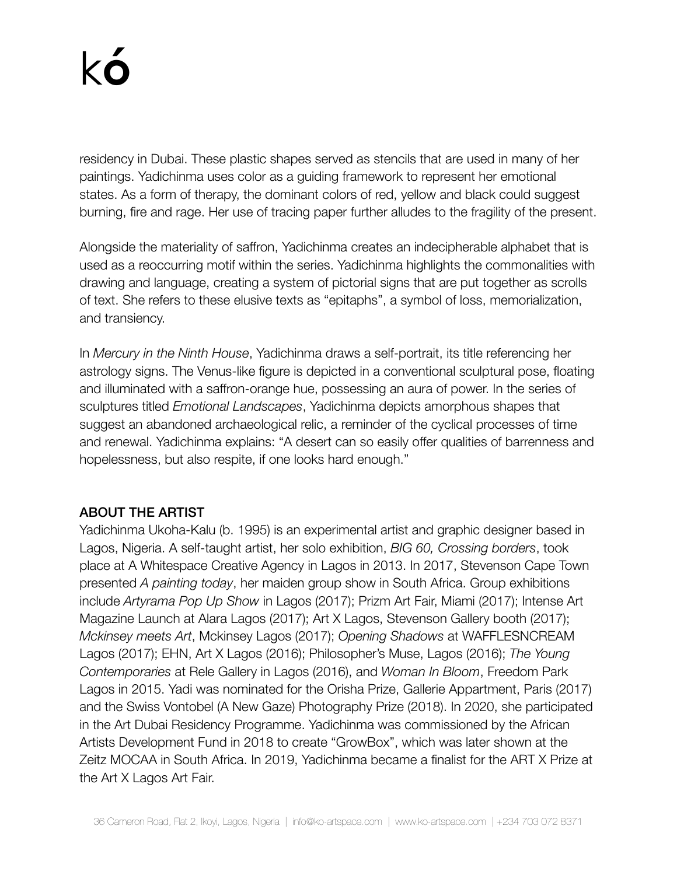residency in Dubai. These plastic shapes served as stencils that are used in many of her paintings. Yadichinma uses color as a guiding framework to represent her emotional states. As a form of therapy, the dominant colors of red, yellow and black could suggest burning, fire and rage. Her use of tracing paper further alludes to the fragility of the present.

Alongside the materiality of saffron, Yadichinma creates an indecipherable alphabet that is used as a reoccurring motif within the series. Yadichinma highlights the commonalities with drawing and language, creating a system of pictorial signs that are put together as scrolls of text. She refers to these elusive texts as "epitaphs", a symbol of loss, memorialization, and transiency.

In *Mercury in the Ninth House*, Yadichinma draws a self-portrait, its title referencing her astrology signs. The Venus-like figure is depicted in a conventional sculptural pose, floating and illuminated with a saffron-orange hue, possessing an aura of power. In the series of sculptures titled *Emotional Landscapes*, Yadichinma depicts amorphous shapes that suggest an abandoned archaeological relic, a reminder of the cyclical processes of time and renewal. Yadichinma explains: "A desert can so easily offer qualities of barrenness and hopelessness, but also respite, if one looks hard enough."

## ABOUT THE ARTIST

Yadichinma Ukoha-Kalu (b. 1995) is an experimental artist and graphic designer based in Lagos, Nigeria. A self-taught artist, her solo exhibition, *BIG 60, Crossing borders*, took place at A Whitespace Creative Agency in Lagos in 2013. In 2017, Stevenson Cape Town presented *A painting today*, her maiden group show in South Africa. Group exhibitions include *Artyrama Pop Up Show* in Lagos (2017); Prizm Art Fair, Miami (2017); Intense Art Magazine Launch at Alara Lagos (2017); Art X Lagos, Stevenson Gallery booth (2017); *Mckinsey meets Art*, Mckinsey Lagos (2017); *Opening Shadows* at WAFFLESNCREAM Lagos (2017); EHN, Art X Lagos (2016); Philosopher's Muse, Lagos (2016); *The Young Contemporaries* at Rele Gallery in Lagos (2016), and *Woman In Bloom*, Freedom Park Lagos in 2015. Yadi was nominated for the Orisha Prize, Gallerie Appartment, Paris (2017) and the Swiss Vontobel (A New Gaze) Photography Prize (2018). In 2020, she participated in the Art Dubai Residency Programme. Yadichinma was commissioned by the African Artists Development Fund in 2018 to create "GrowBox", which was later shown at the Zeitz MOCAA in South Africa. In 2019, Yadichinma became a finalist for the ART X Prize at the Art X Lagos Art Fair.